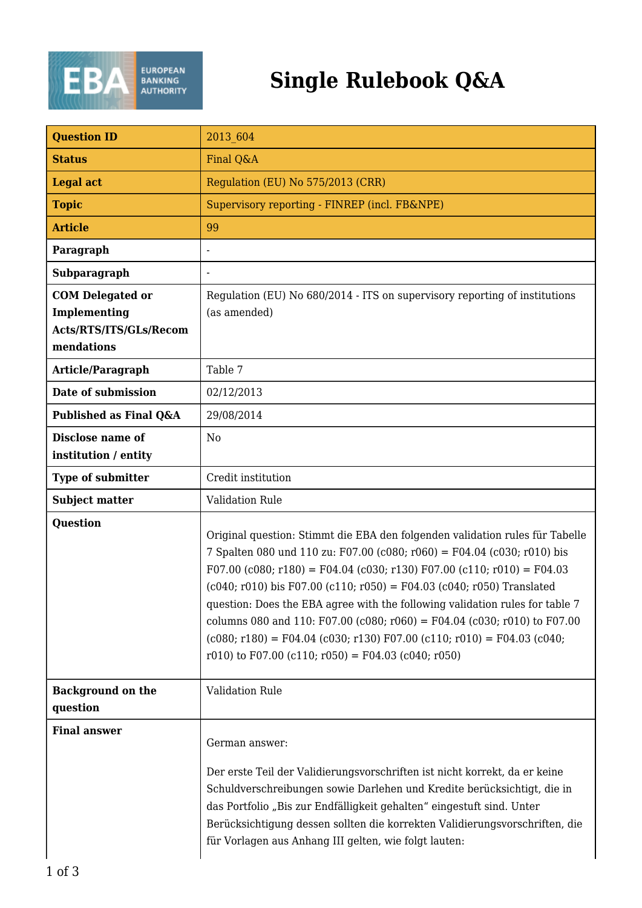

## **Single Rulebook Q&A**

| <b>Question ID</b>                                                              | 2013 604                                                                                                                                                                                                                                                                                                                                                                                                                                                                                                                                                                                                         |
|---------------------------------------------------------------------------------|------------------------------------------------------------------------------------------------------------------------------------------------------------------------------------------------------------------------------------------------------------------------------------------------------------------------------------------------------------------------------------------------------------------------------------------------------------------------------------------------------------------------------------------------------------------------------------------------------------------|
| <b>Status</b>                                                                   | Final Q&A                                                                                                                                                                                                                                                                                                                                                                                                                                                                                                                                                                                                        |
| <b>Legal act</b>                                                                | Regulation (EU) No 575/2013 (CRR)                                                                                                                                                                                                                                                                                                                                                                                                                                                                                                                                                                                |
| <b>Topic</b>                                                                    | Supervisory reporting - FINREP (incl. FB&NPE)                                                                                                                                                                                                                                                                                                                                                                                                                                                                                                                                                                    |
| <b>Article</b>                                                                  | 99                                                                                                                                                                                                                                                                                                                                                                                                                                                                                                                                                                                                               |
| Paragraph                                                                       |                                                                                                                                                                                                                                                                                                                                                                                                                                                                                                                                                                                                                  |
| Subparagraph                                                                    |                                                                                                                                                                                                                                                                                                                                                                                                                                                                                                                                                                                                                  |
| <b>COM Delegated or</b><br>Implementing<br>Acts/RTS/ITS/GLs/Recom<br>mendations | Regulation (EU) No 680/2014 - ITS on supervisory reporting of institutions<br>(as amended)                                                                                                                                                                                                                                                                                                                                                                                                                                                                                                                       |
| Article/Paragraph                                                               | Table 7                                                                                                                                                                                                                                                                                                                                                                                                                                                                                                                                                                                                          |
| Date of submission                                                              | 02/12/2013                                                                                                                                                                                                                                                                                                                                                                                                                                                                                                                                                                                                       |
| Published as Final Q&A                                                          | 29/08/2014                                                                                                                                                                                                                                                                                                                                                                                                                                                                                                                                                                                                       |
| Disclose name of<br>institution / entity                                        | N <sub>0</sub>                                                                                                                                                                                                                                                                                                                                                                                                                                                                                                                                                                                                   |
| Type of submitter                                                               | Credit institution                                                                                                                                                                                                                                                                                                                                                                                                                                                                                                                                                                                               |
| <b>Subject matter</b>                                                           | <b>Validation Rule</b>                                                                                                                                                                                                                                                                                                                                                                                                                                                                                                                                                                                           |
| <b>Question</b>                                                                 | Original question: Stimmt die EBA den folgenden validation rules für Tabelle<br>7 Spalten 080 und 110 zu: F07.00 (c080; r060) = F04.04 (c030; r010) bis<br>$F07.00$ (c080; r180) = F04.04 (c030; r130) F07.00 (c110; r010) = F04.03<br>$(c040; r010)$ bis F07.00 $(c110; r050) = F04.03$ $(c040; r050)$ Translated<br>question: Does the EBA agree with the following validation rules for table 7<br>columns 080 and 110: F07.00 (c080; r060) = F04.04 (c030; r010) to F07.00<br>$(c080; r180) = F04.04 (c030; r130) F07.00 (c110; r010) = F04.03 (c040;$<br>r010) to F07.00 (c110; r050) = F04.03 (c040; r050) |
| <b>Background on the</b><br>question                                            | Validation Rule                                                                                                                                                                                                                                                                                                                                                                                                                                                                                                                                                                                                  |
| <b>Final answer</b>                                                             | German answer:<br>Der erste Teil der Validierungsvorschriften ist nicht korrekt, da er keine<br>Schuldverschreibungen sowie Darlehen und Kredite berücksichtigt, die in<br>das Portfolio "Bis zur Endfälligkeit gehalten" eingestuft sind. Unter<br>Berücksichtigung dessen sollten die korrekten Validierungsvorschriften, die<br>für Vorlagen aus Anhang III gelten, wie folgt lauten:                                                                                                                                                                                                                         |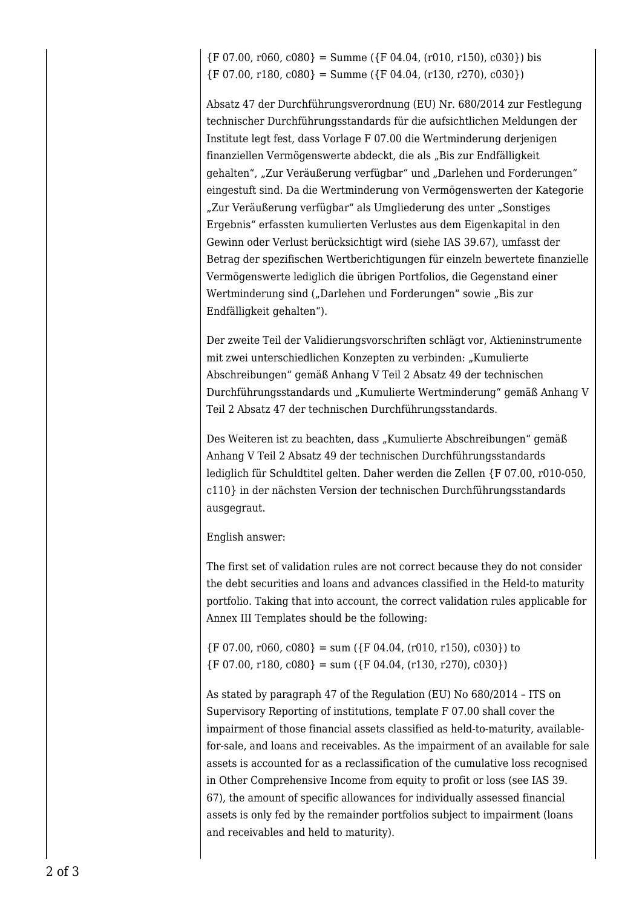${F\ 07.00, r060, c080} =$  Summe  $({F\ 04.04, (r010, r150), c030})$  bis  ${F\ 07.00, r180, c080} = Summe({F\ 04.04, (r130, r270), c030})$ 

Absatz 47 der Durchführungsverordnung (EU) Nr. 680/2014 zur Festlegung technischer Durchführungsstandards für die aufsichtlichen Meldungen der Institute legt fest, dass Vorlage F 07.00 die Wertminderung derjenigen finanziellen Vermögenswerte abdeckt, die als "Bis zur Endfälligkeit gehalten", "Zur Veräußerung verfügbar" und "Darlehen und Forderungen" eingestuft sind. Da die Wertminderung von Vermögenswerten der Kategorie "Zur Veräußerung verfügbar" als Umgliederung des unter "Sonstiges Ergebnis" erfassten kumulierten Verlustes aus dem Eigenkapital in den Gewinn oder Verlust berücksichtigt wird (siehe IAS 39.67), umfasst der Betrag der spezifischen Wertberichtigungen für einzeln bewertete finanzielle Vermögenswerte lediglich die übrigen Portfolios, die Gegenstand einer Wertminderung sind ("Darlehen und Forderungen" sowie "Bis zur Endfälligkeit gehalten").

Der zweite Teil der Validierungsvorschriften schlägt vor, Aktieninstrumente mit zwei unterschiedlichen Konzepten zu verbinden: "Kumulierte Abschreibungen" gemäß Anhang V Teil 2 Absatz 49 der technischen Durchführungsstandards und "Kumulierte Wertminderung" gemäß Anhang V Teil 2 Absatz 47 der technischen Durchführungsstandards.

Des Weiteren ist zu beachten, dass "Kumulierte Abschreibungen" gemäß Anhang V Teil 2 Absatz 49 der technischen Durchführungsstandards lediglich für Schuldtitel gelten. Daher werden die Zellen {F 07.00, r010-050, c110} in der nächsten Version der technischen Durchführungsstandards ausgegraut.

English answer:

The first set of validation rules are not correct because they do not consider the debt securities and loans and advances classified in the Held-to maturity portfolio. Taking that into account, the correct validation rules applicable for Annex III Templates should be the following:

 ${F\ 07.00, r060, c080} = \text{sum}({F\ 04.04, (r010, r150), c030})$  to  ${F\ 07.00, r180, c080} = sum({F\ 04.04, (r130, r270), c030})$ 

As stated by paragraph 47 of the Regulation (EU) No 680/2014 – ITS on Supervisory Reporting of institutions, template F 07.00 shall cover the impairment of those financial assets classified as held-to-maturity, availablefor-sale, and loans and receivables. As the impairment of an available for sale assets is accounted for as a reclassification of the cumulative loss recognised in Other Comprehensive Income from equity to profit or loss (see IAS 39. 67), the amount of specific allowances for individually assessed financial assets is only fed by the remainder portfolios subject to impairment (loans and receivables and held to maturity).